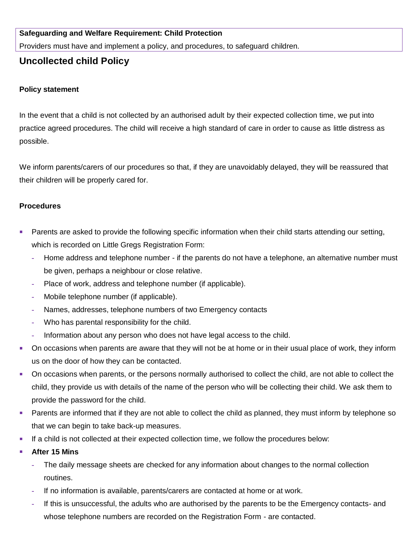### **Safeguarding and Welfare Requirement: Child Protection**

Providers must have and implement a policy, and procedures, to safeguard children.

# **Uncollected child Policy**

### **Policy statement**

In the event that a child is not collected by an authorised adult by their expected collection time, we put into practice agreed procedures. The child will receive a high standard of care in order to cause as little distress as possible.

We inform parents/carers of our procedures so that, if they are unavoidably delayed, they will be reassured that their children will be properly cared for.

#### **Procedures**

- Parents are asked to provide the following specific information when their child starts attending our setting, which is recorded on Little Gregs Registration Form:
	- **-** Home address and telephone number if the parents do not have a telephone, an alternative number must be given, perhaps a neighbour or close relative.
	- **-** Place of work, address and telephone number (if applicable).
	- **-** Mobile telephone number (if applicable).
	- **-** Names, addresses, telephone numbers of two Emergency contacts
	- **-** Who has parental responsibility for the child.
	- **-** Information about any person who does not have legal access to the child.
- On occasions when parents are aware that they will not be at home or in their usual place of work, they inform us on the door of how they can be contacted.
- On occasions when parents, or the persons normally authorised to collect the child, are not able to collect the child, they provide us with details of the name of the person who will be collecting their child. We ask them to provide the password for the child.
- **Parents are informed that if they are not able to collect the child as planned, they must inform by telephone so** that we can begin to take back-up measures.
- If a child is not collected at their expected collection time, we follow the procedures below:
- **After 15 Mins**
	- **-** The daily message sheets are checked for any information about changes to the normal collection routines.
	- **-** If no information is available, parents/carers are contacted at home or at work.
	- **-** If this is unsuccessful, the adults who are authorised by the parents to be the Emergency contacts- and whose telephone numbers are recorded on the Registration Form - are contacted.